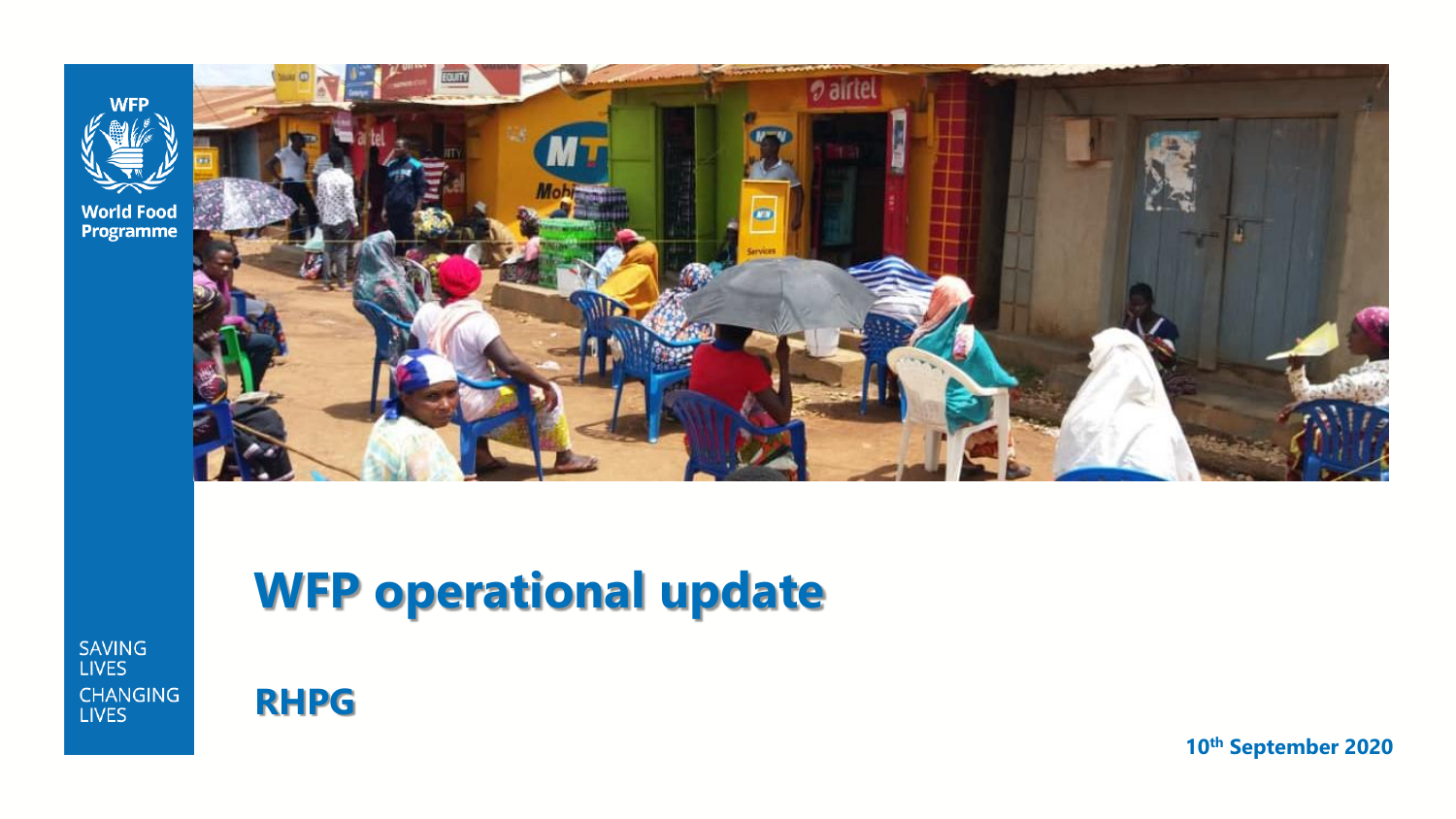

**World Food<br>Programme** 



# **WFP operational update**

**SAVING LIVES CHANGING LIVES** 



**10th September 2020**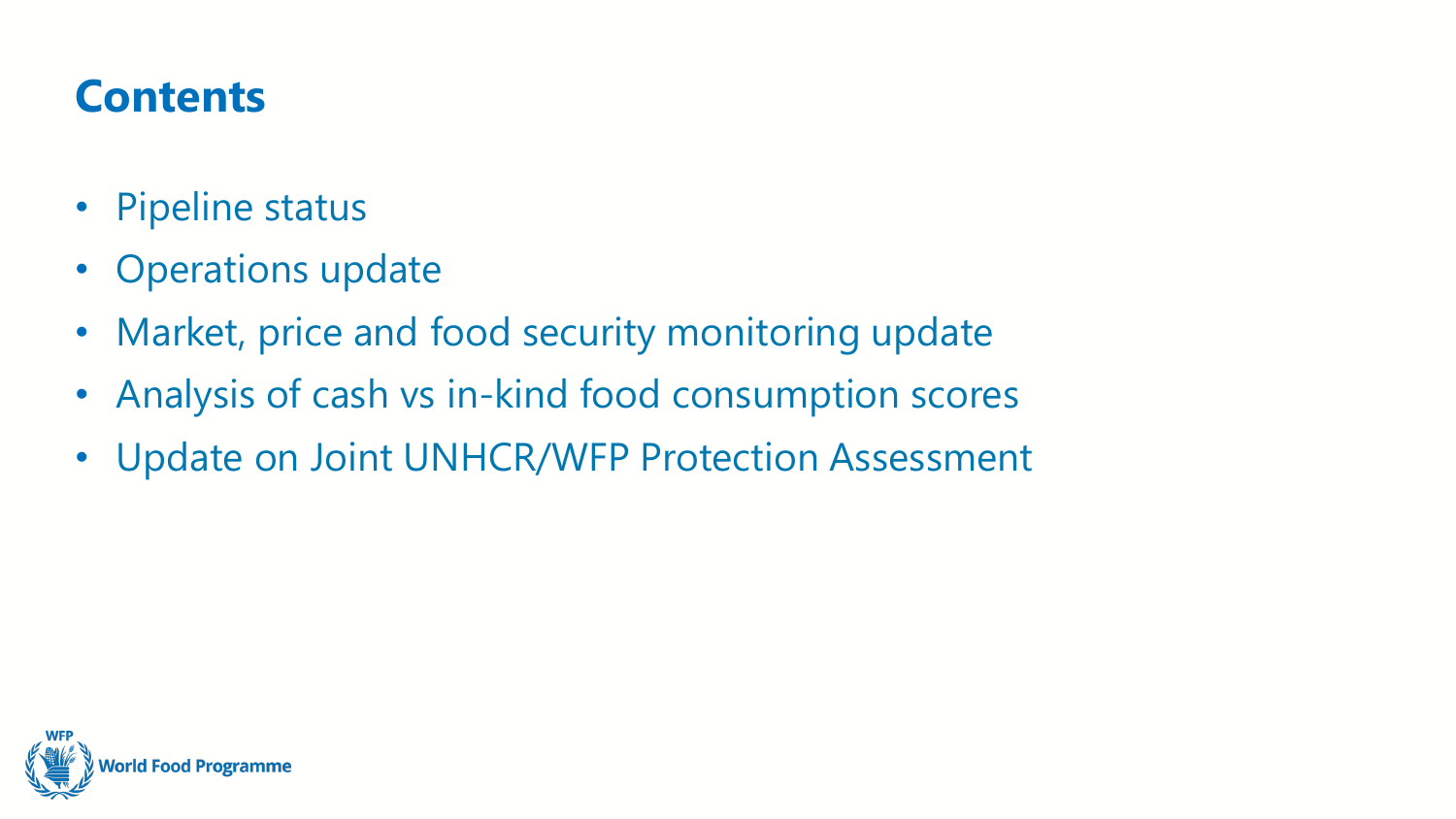## **Contents**

- Pipeline status
- Operations update
- Market, price and food security monitoring update
- Analysis of cash vs in-kind food consumption scores
- Update on Joint UNHCR/WFP Protection Assessment

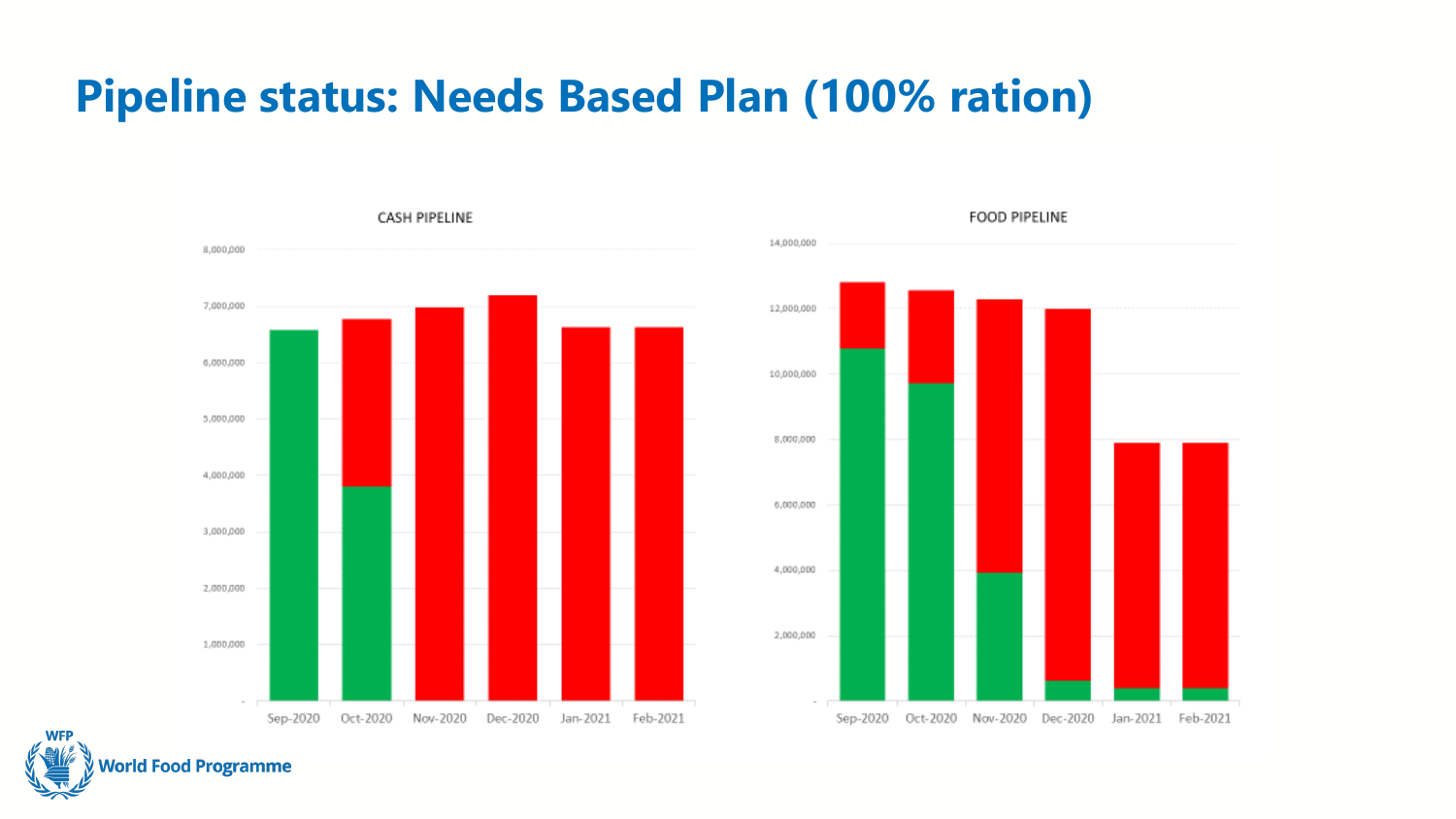### **Pipeline status: Needs Based Plan (100% ration)**



# 14,000,000 12,000,000 10,000,000 8,000,000 6,000,000 4,000,000 2,000,000

Oct-2020 Nov-2020 Dec-2020

Jan-2021 Feb-2021

Sep-2020

FOOD PIPELINE

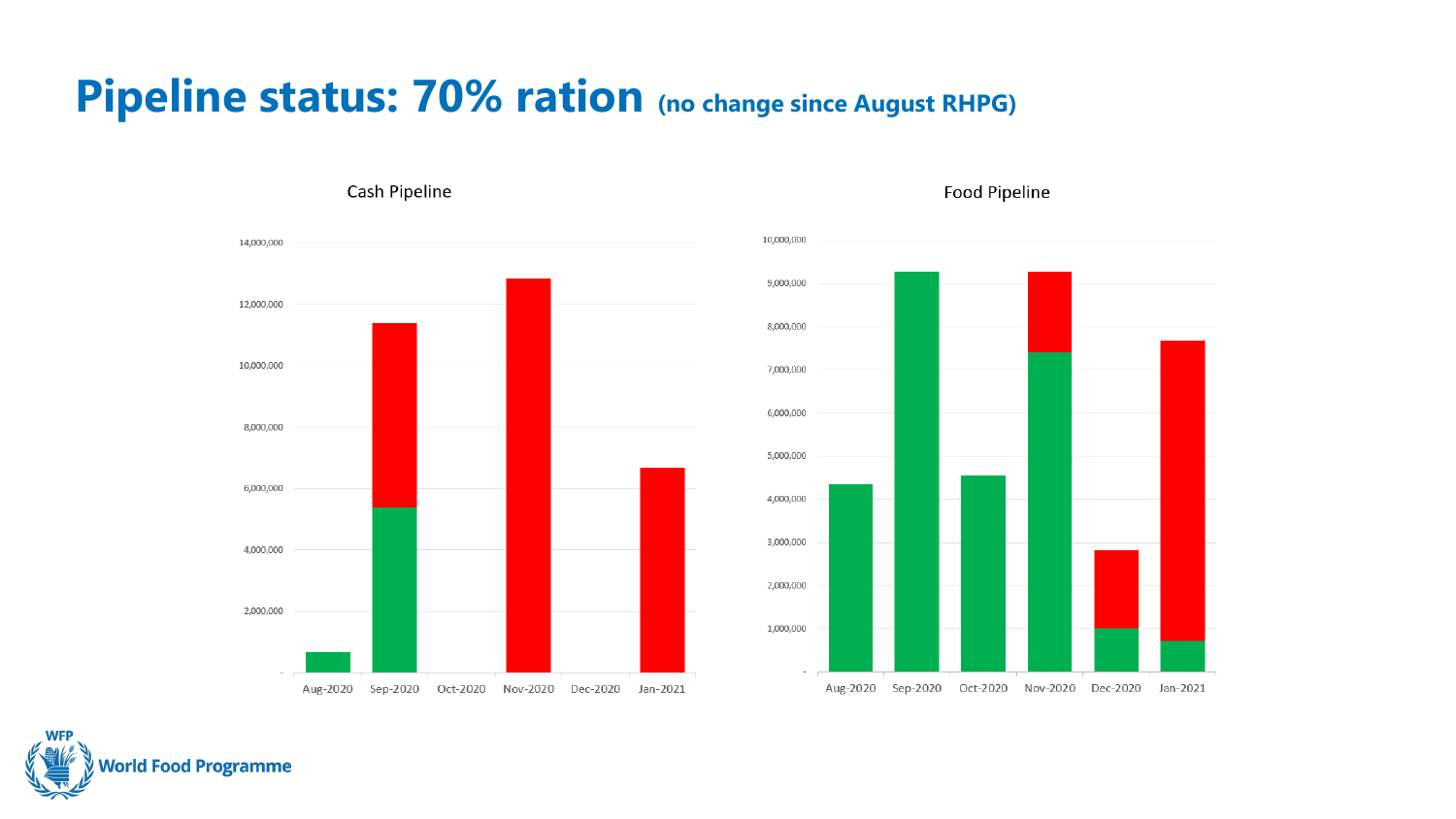#### **Pipeline status: 70% ration (no change since August RHPG)**



Food Pipeline



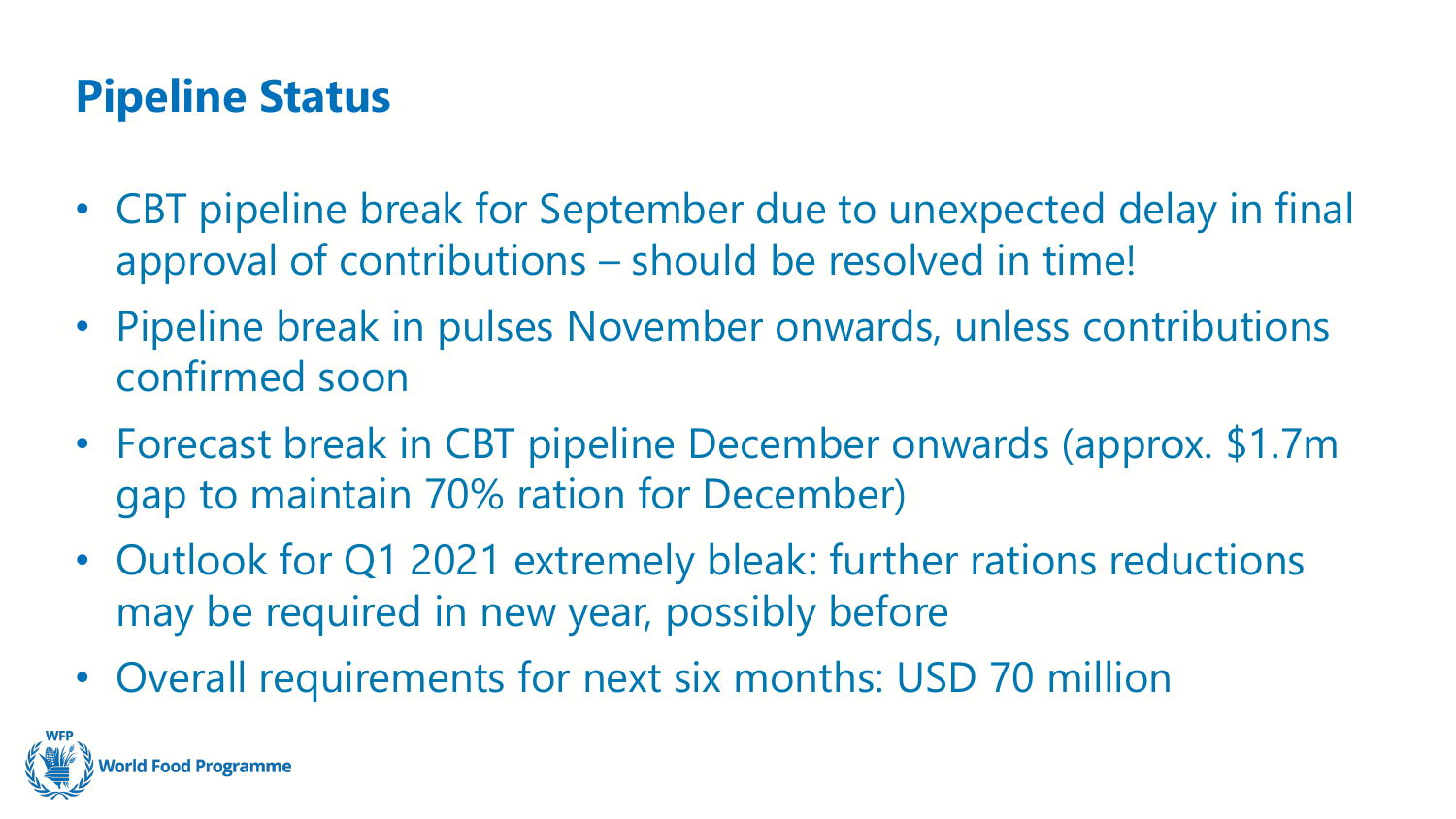# **Pipeline Status**

- CBT pipeline break for September due to unexpected delay in final approval of contributions – should be resolved in time!
- Pipeline break in pulses November onwards, unless contributions confirmed soon
- Forecast break in CBT pipeline December onwards (approx. \$1.7m gap to maintain 70% ration for December)
- Outlook for Q1 2021 extremely bleak: further rations reductions may be required in new year, possibly before
- Overall requirements for next six months: USD 70 million

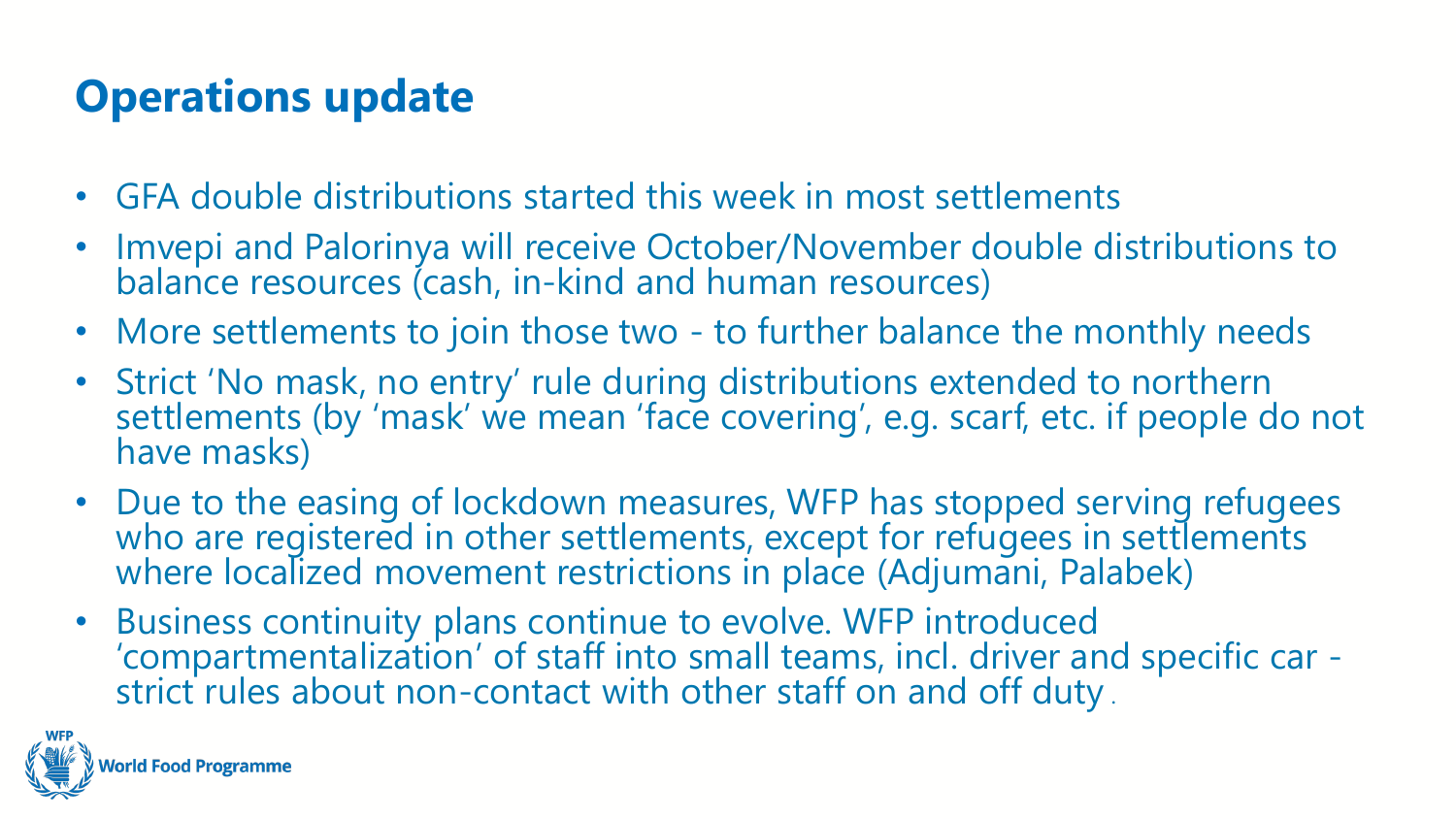# **Operations update**

- GFA double distributions started this week in most settlements
- Imvepi and Palorinya will receive October/November double distributions to balance resources (cash, in-kind and human resources)
- More settlements to join those two to further balance the monthly needs
- Strict 'No mask, no entry' rule during distributions extended to northern settlements (by 'mask' we mean 'face covering', e.g. scarf, etc. if people do not have masks)
- Due to the easing of lockdown measures, WFP has stopped serving refugees who are registered in other settlements, except for refugees in settlements where localized movement restrictions in place (Adjumani, Palabek)
- Business continuity plans continue to evolve. WFP introduced 'compartmentalization' of staff into small teams, incl. driver and specific car strict rules about non-contact with other staff on and off duty.

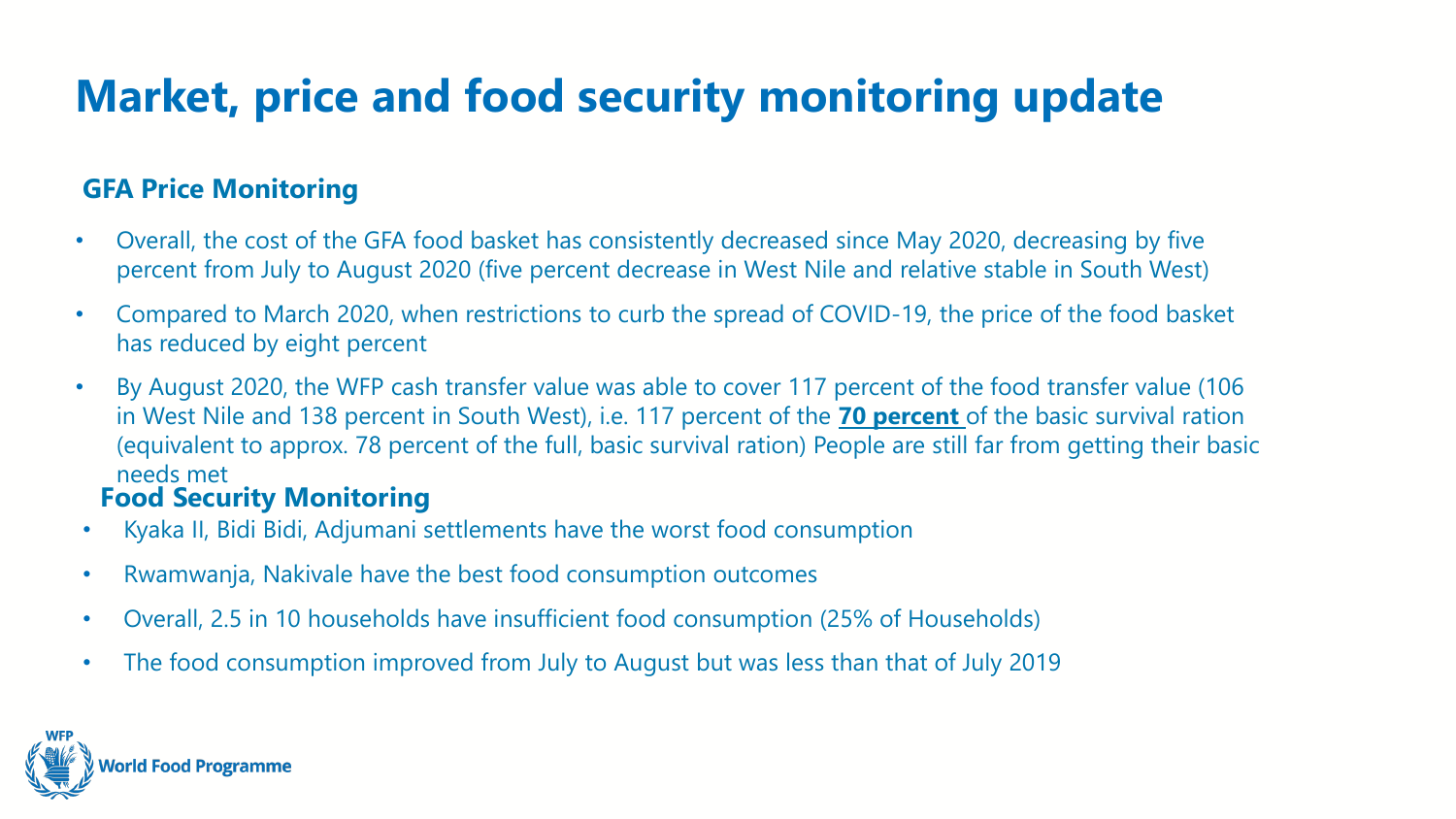# **Market, price and food security monitoring update**

#### **GFA Price Monitoring**

- Overall, the cost of the GFA food basket has consistently decreased since May 2020, decreasing by five percent from July to August 2020 (five percent decrease in West Nile and relative stable in South West)
- Compared to March 2020, when restrictions to curb the spread of COVID-19, the price of the food basket has reduced by eight percent
- By August 2020, the WFP cash transfer value was able to cover 117 percent of the food transfer value (106 in West Nile and 138 percent in South West), i.e. 117 percent of the **70 percent** of the basic survival ration (equivalent to approx. 78 percent of the full, basic survival ration) People are still far from getting their basic needs met

#### **Food Security Monitoring**

- Kyaka II, Bidi Bidi, Adjumani settlements have the worst food consumption
- Rwamwanja, Nakivale have the best food consumption outcomes
- Overall, 2.5 in 10 households have insufficient food consumption (25% of Households)
- The food consumption improved from July to August but was less than that of July 2019

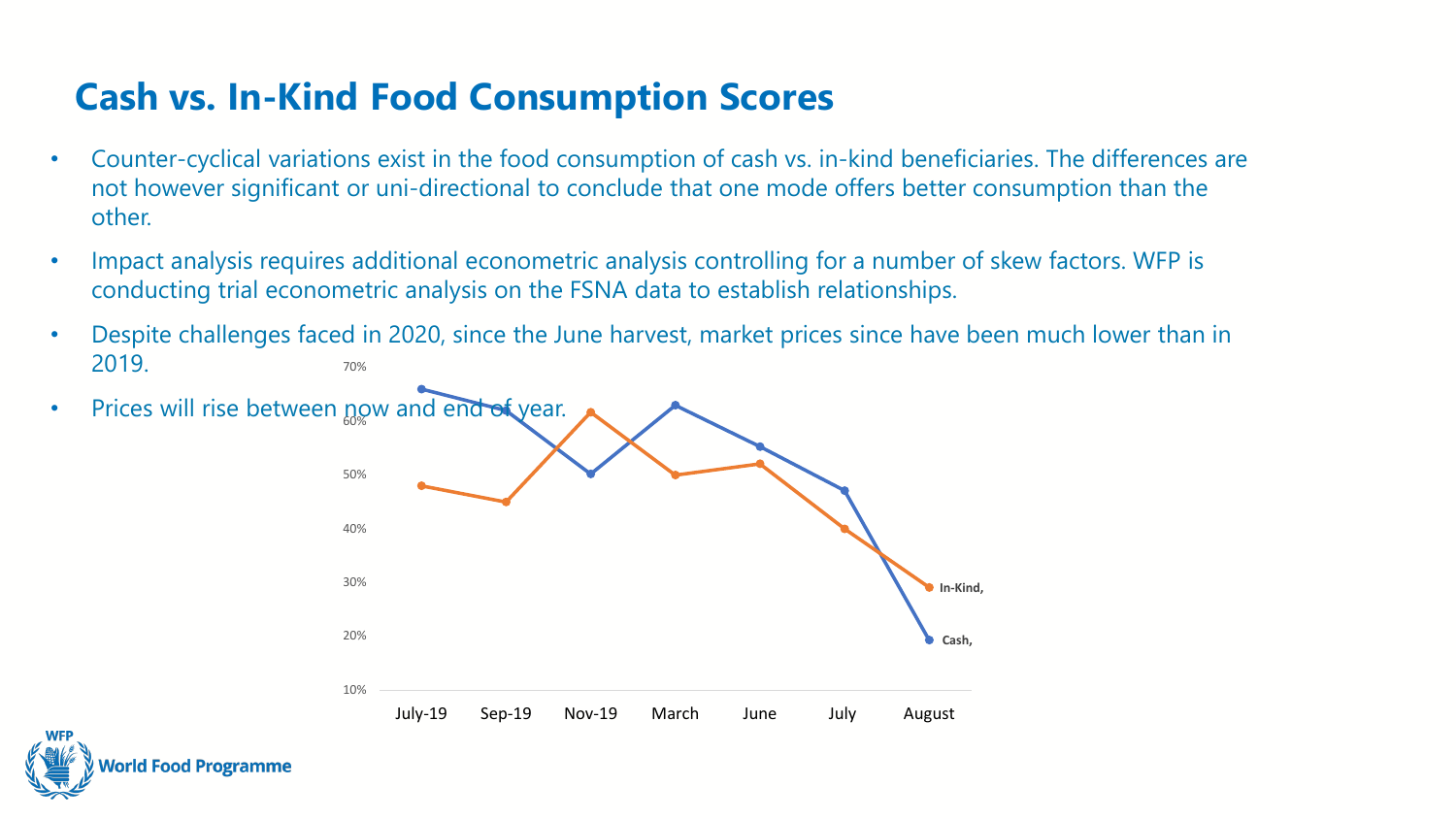#### **Cash vs. In-Kind Food Consumption Scores**

- Counter-cyclical variations exist in the food consumption of cash vs. in-kind beneficiaries. The differences are not however significant or uni-directional to conclude that one mode offers better consumption than the other.
- Impact analysis requires additional econometric analysis controlling for a number of skew factors. WFP is conducting trial econometric analysis on the FSNA data to establish relationships.
- 70% • Despite challenges faced in 2020, since the June harvest, market prices since have been much lower than in 2019.